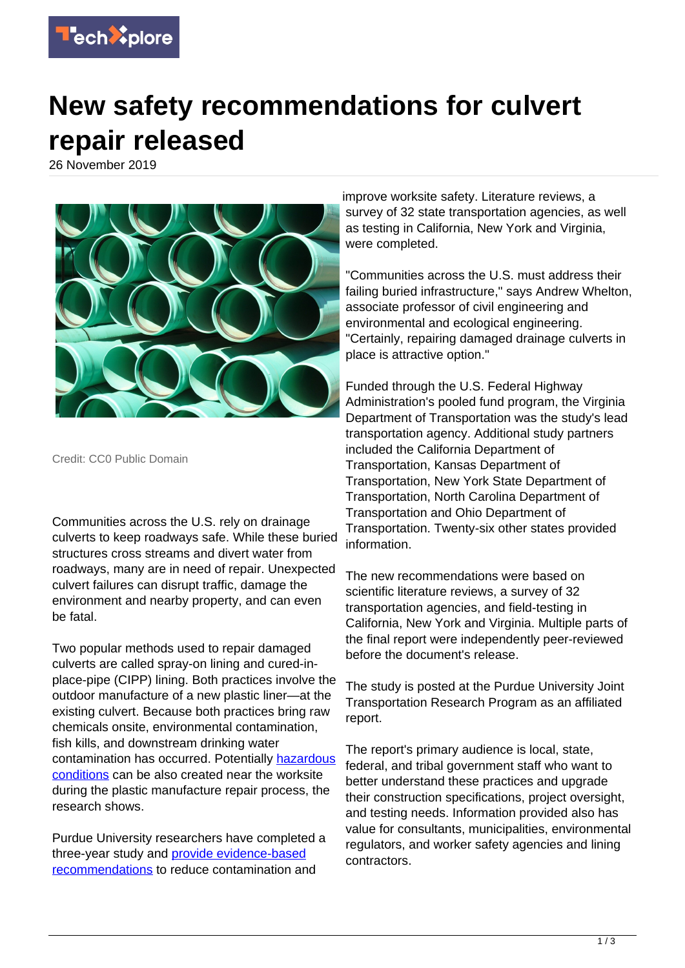

## **New safety recommendations for culvert repair released**

26 November 2019



Credit: CC0 Public Domain

Communities across the U.S. rely on drainage culverts to keep roadways safe. While these buried structures cross streams and divert water from roadways, many are in need of repair. Unexpected culvert failures can disrupt traffic, damage the environment and nearby property, and can even be fatal.

Two popular methods used to repair damaged culverts are called spray-on lining and cured-inplace-pipe (CIPP) lining. Both practices involve the outdoor manufacture of a new plastic liner—at the existing culvert. Because both practices bring raw chemicals onsite, environmental contamination, fish kills, and downstream drinking water contamination has occurred. Potentially [hazardous](https://techxplore.com/tags/hazardous+conditions/) [conditions](https://techxplore.com/tags/hazardous+conditions/) can be also created near the worksite during the plastic manufacture repair process, the research shows.

Purdue University researchers have completed a three-year study and [provide evidence-based](https://docs.lib.purdue.edu/jtrpaffdocs/30/) [recommendations](https://docs.lib.purdue.edu/jtrpaffdocs/30/) to reduce contamination and

improve worksite safety. Literature reviews, a survey of 32 state transportation agencies, as well as testing in California, New York and Virginia, were completed.

"Communities across the U.S. must address their failing buried infrastructure," says Andrew Whelton, associate professor of civil engineering and environmental and ecological engineering. "Certainly, repairing damaged drainage culverts in place is attractive option."

Funded through the U.S. Federal Highway Administration's pooled fund program, the Virginia Department of Transportation was the study's lead transportation agency. Additional study partners included the California Department of Transportation, Kansas Department of Transportation, New York State Department of Transportation, North Carolina Department of Transportation and Ohio Department of Transportation. Twenty-six other states provided information.

The new recommendations were based on scientific literature reviews, a survey of 32 transportation agencies, and field-testing in California, New York and Virginia. Multiple parts of the final report were independently peer-reviewed before the document's release.

The study is posted at the Purdue University Joint Transportation Research Program as an affiliated report.

The report's primary audience is local, state, federal, and tribal government staff who want to better understand these practices and upgrade their construction specifications, project oversight, and testing needs. Information provided also has value for consultants, municipalities, environmental regulators, and worker safety agencies and lining contractors.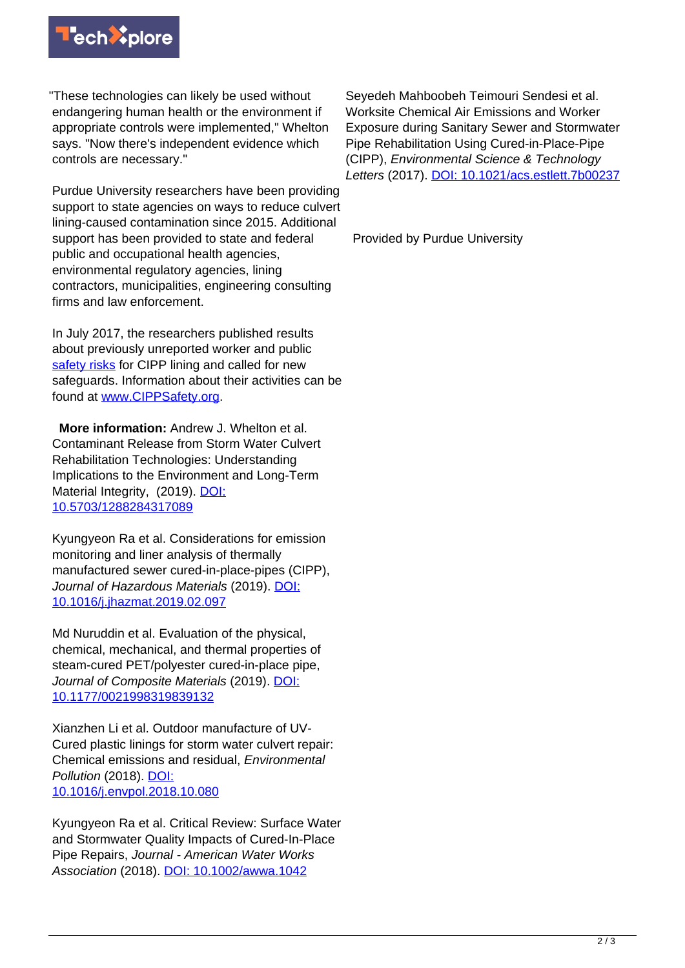

"These technologies can likely be used without endangering human health or the environment if appropriate controls were implemented," Whelton says. "Now there's independent evidence which controls are necessary."

Purdue University researchers have been providing support to state agencies on ways to reduce culvert lining-caused contamination since 2015. Additional support has been provided to state and federal public and occupational health agencies, environmental regulatory agencies, lining contractors, municipalities, engineering consulting firms and law enforcement.

In July 2017, the researchers published results about previously unreported worker and public [safety risks](https://www.purdue.edu/newsroom/releases/2017/Q3/materials-emitted-by-a-water-pipe-repair-method-may-pose-health-risks,-new-safeguards-and-research-needed.html) for CIPP lining and called for new safeguards. Information about their activities can be found at [www.CIPPSafety.org.](http://www.cippsafety.org/)

 **More information:** Andrew J. Whelton et al. Contaminant Release from Storm Water Culvert Rehabilitation Technologies: Understanding Implications to the Environment and Long-Term Material Integrity, (2019). [DOI:](http://dx.doi.org/10.5703/1288284317089) [10.5703/1288284317089](http://dx.doi.org/10.5703/1288284317089)

Kyungyeon Ra et al. Considerations for emission monitoring and liner analysis of thermally manufactured sewer cured-in-place-pipes (CIPP), Journal of Hazardous Materials (2019). [DOI:](http://dx.doi.org/10.1016/j.jhazmat.2019.02.097) [10.1016/j.jhazmat.2019.02.097](http://dx.doi.org/10.1016/j.jhazmat.2019.02.097)

Md Nuruddin et al. Evaluation of the physical, chemical, mechanical, and thermal properties of steam-cured PET/polyester cured-in-place pipe, Journal of Composite Materials (2019). [DOI:](http://dx.doi.org/10.1177/0021998319839132) [10.1177/0021998319839132](http://dx.doi.org/10.1177/0021998319839132)

Xianzhen Li et al. Outdoor manufacture of UV-Cured plastic linings for storm water culvert repair: Chemical emissions and residual, Environmental Pollution (2018). [DOI:](http://dx.doi.org/10.1016/j.envpol.2018.10.080) [10.1016/j.envpol.2018.10.080](http://dx.doi.org/10.1016/j.envpol.2018.10.080)

Kyungyeon Ra et al. Critical Review: Surface Water and Stormwater Quality Impacts of Cured-In-Place Pipe Repairs, Journal - American Water Works Association (2018). [DOI: 10.1002/awwa.1042](http://dx.doi.org/10.1002/awwa.1042)

Seyedeh Mahboobeh Teimouri Sendesi et al. Worksite Chemical Air Emissions and Worker Exposure during Sanitary Sewer and Stormwater Pipe Rehabilitation Using Cured-in-Place-Pipe (CIPP), Environmental Science & Technology Letters (2017). [DOI: 10.1021/acs.estlett.7b00237](http://dx.doi.org/10.1021/acs.estlett.7b00237)

Provided by Purdue University